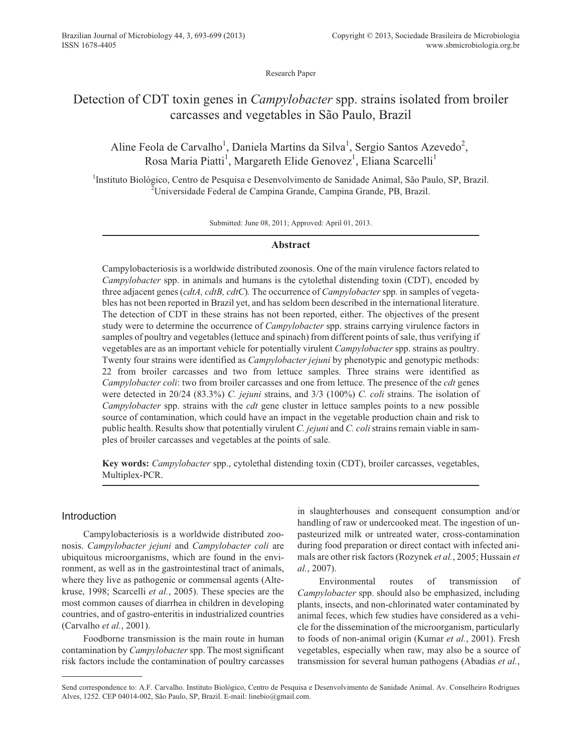Research Paper

# Detection of CDT toxin genes in *Campylobacter* spp. strains isolated from broiler carcasses and vegetables in São Paulo, Brazil

## Aline Feola de Carvalho<sup>1</sup>, Daniela Martins da Silva<sup>1</sup>, Sergio Santos Azevedo<sup>2</sup>, Rosa Maria Piatti<sup>1</sup>, Margareth Elide Genovez<sup>1</sup>, Eliana Scarcelli<sup>1</sup>

<sup>1</sup>Instituto Biológico, Centro de Pesquisa e Desenvolvimento de Sanidade Animal, São Paulo, SP, Brazil. <sup>2</sup>Universidade Federal de Campina Grande, Campina Grande, PB, Brazil.

Submitted: June 08, 2011; Approved: April 01, 2013.

## **Abstract**

Campylobacteriosis is a worldwide distributed zoonosis. One of the main virulence factors related to *Campylobacter* spp. in animals and humans is the cytolethal distending toxin (CDT), encoded by three adjacent genes (*cdtA, cdtB, cdtC*)*.* The occurrence of *Campylobacter* spp*.* in samples of vegetables has not been reported in Brazil yet, and has seldom been described in the international literature. The detection of CDT in these strains has not been reported, either. The objectives of the present study were to determine the occurrence of *Campylobacter* spp. strains carrying virulence factors in samples of poultry and vegetables (lettuce and spinach) from different points of sale, thus verifying if vegetables are as an important vehicle for potentially virulent *Campylobacter* spp. strains as poultry. Twenty four strains were identified as *Campylobacter jejuni* by phenotypic and genotypic methods: 22 from broiler carcasses and two from lettuce samples. Three strains were identified as *Campylobacter coli*: two from broiler carcasses and one from lettuce. The presence of the *cdt* genes were detected in 20/24 (83.3%) *C. jejuni* strains, and 3/3 (100%) *C. coli* strains. The isolation of *Campylobacter* spp. strains with the *cdt* gene cluster in lettuce samples points to a new possible source of contamination, which could have an impact in the vegetable production chain and risk to public health. Results show that potentially virulent *C. jejuni* and *C. coli*strains remain viable in samples of broiler carcasses and vegetables at the points of sale.

**Key words:** *Campylobacter* spp., cytolethal distending toxin (CDT), broiler carcasses, vegetables, Multiplex-PCR.

## Introduction

Campylobacteriosis is a worldwide distributed zoonosis. *Campylobacter jejuni* and *Campylobacter coli* are ubiquitous microorganisms, which are found in the environment, as well as in the gastrointestinal tract of animals, where they live as pathogenic or commensal agents (Altekruse, 1998; Scarcelli *et al.*, 2005). These species are the most common causes of diarrhea in children in developing countries, and of gastro-enteritis in industrialized countries (Carvalho *et al.*, 2001).

Foodborne transmission is the main route in human contamination by *Campylobacter*spp. The most significant risk factors include the contamination of poultry carcasses in slaughterhouses and consequent consumption and/or handling of raw or undercooked meat. The ingestion of unpasteurized milk or untreated water, cross-contamination during food preparation or direct contact with infected animals are other risk factors (Rozynek *et al.*, 2005; Hussain *et al.*, 2007).

Environmental routes of transmission of *Campylobacter* spp. should also be emphasized, including plants, insects, and non-chlorinated water contaminated by animal feces, which few studies have considered as a vehicle for the dissemination of the microorganism, particularly to foods of non-animal origin (Kumar *et al.*, 2001). Fresh vegetables, especially when raw, may also be a source of transmission for several human pathogens (Abadias *et al.*,

Send correspondence to: A.F. Carvalho. Instituto Biológico, Centro de Pesquisa e Desenvolvimento de Sanidade Animal. Av. Conselheiro Rodrigues Alves, 1252. CEP 04014-002, São Paulo, SP, Brazil. E-mail: linebio@gmail.com.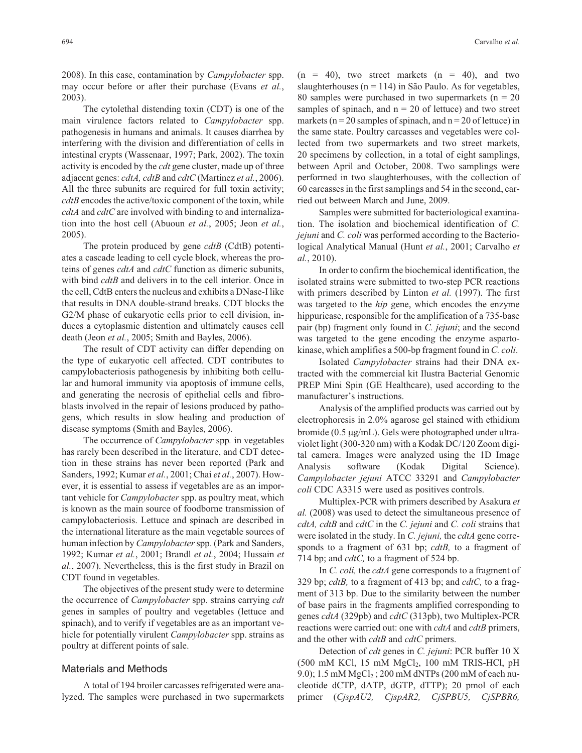2008). In this case, contamination by *Campylobacter* spp. may occur before or after their purchase (Evans *et al.*, 2003).

The cytolethal distending toxin (CDT) is one of the main virulence factors related to *Campylobacter* spp. pathogenesis in humans and animals. It causes diarrhea by interfering with the division and differentiation of cells in intestinal crypts (Wassenaar, 1997; Park, 2002). The toxin activity is encoded by the *cdt* gene cluster, made up of three adjacent genes: *cdtA, cdtB* and *cdtC* (Martinez *et al.*, 2006). All the three subunits are required for full toxin activity; *cdtB* encodes the active/toxic component of the toxin, while *cdtA* and *cdtC* are involved with binding to and internalization into the host cell (Abuoun *et al.*, 2005; Jeon *et al.*, 2005).

The protein produced by gene *cdtB* (CdtB) potentiates a cascade leading to cell cycle block, whereas the proteins of genes *cdtA* and *cdtC* function as dimeric subunits, with bind *cdtB* and delivers in to the cell interior. Once in the cell, CdtB enters the nucleus and exhibits a DNase-I like that results in DNA double-strand breaks. CDT blocks the G2/M phase of eukaryotic cells prior to cell division, induces a cytoplasmic distention and ultimately causes cell death (Jeon *et al.*, 2005; Smith and Bayles, 2006).

The result of CDT activity can differ depending on the type of eukaryotic cell affected. CDT contributes to campylobacteriosis pathogenesis by inhibiting both cellular and humoral immunity via apoptosis of immune cells, and generating the necrosis of epithelial cells and fibroblasts involved in the repair of lesions produced by pathogens, which results in slow healing and production of disease symptoms (Smith and Bayles, 2006).

The occurrence of *Campylobacter* spp*.* in vegetables has rarely been described in the literature, and CDT detection in these strains has never been reported (Park and Sanders, 1992; Kumar *et al.*, 2001; Chai *et al.*, 2007). However, it is essential to assess if vegetables are as an important vehicle for *Campylobacter* spp. as poultry meat, which is known as the main source of foodborne transmission of campylobacteriosis. Lettuce and spinach are described in the international literature as the main vegetable sources of human infection by *Campylobacter*spp. (Park and Sanders, 1992; Kumar *et al.*, 2001; Brandl *et al.*, 2004; Hussain *et al.*, 2007). Nevertheless, this is the first study in Brazil on CDT found in vegetables.

The objectives of the present study were to determine the occurrence of *Campylobacter* spp. strains carrying *cdt* genes in samples of poultry and vegetables (lettuce and spinach), and to verify if vegetables are as an important vehicle for potentially virulent *Campylobacter* spp. strains as poultry at different points of sale.

### Materials and Methods

A total of 194 broiler carcasses refrigerated were analyzed. The samples were purchased in two supermarkets  $(n = 40)$ , two street markets  $(n = 40)$ , and two slaughterhouses ( $n = 114$ ) in São Paulo. As for vegetables, 80 samples were purchased in two supermarkets ( $n = 20$ ) samples of spinach, and  $n = 20$  of lettuce) and two street markets ( $n = 20$  samples of spinach, and  $n = 20$  of lettuce) in the same state. Poultry carcasses and vegetables were collected from two supermarkets and two street markets, 20 specimens by collection, in a total of eight samplings, between April and October, 2008. Two samplings were performed in two slaughterhouses, with the collection of 60 carcasses in the first samplings and 54 in the second, carried out between March and June, 2009.

Samples were submitted for bacteriological examination. The isolation and biochemical identification of *C. jejuni* and *C. coli* was performed according to the Bacteriological Analytical Manual (Hunt *et al.*, 2001; Carvalho *et al.*, 2010).

In order to confirm the biochemical identification, the isolated strains were submitted to two-step PCR reactions with primers described by Linton *et al.* (1997). The first was targeted to the *hip* gene, which encodes the enzyme hippuricase, responsible for the amplification of a 735-base pair (bp) fragment only found in *C. jejuni*; and the second was targeted to the gene encoding the enzyme aspartokinase, which amplifies a 500-bp fragment found in *C. coli*.

Isolated *Campylobacter* strains had their DNA extracted with the commercial kit Ilustra Bacterial Genomic PREP Mini Spin (GE Healthcare), used according to the manufacturer's instructions.

Analysis of the amplified products was carried out by electrophoresis in 2.0% agarose gel stained with ethidium bromide (0.5 μg/mL). Gels were photographed under ultraviolet light (300-320 nm) with a Kodak DC/120 Zoom digital camera. Images were analyzed using the 1D Image Analysis software (Kodak Digital Science). *Campylobacter jejuni* ATCC 33291 and *Campylobacter coli* CDC A3315 were used as positives controls.

Multiplex-PCR with primers described by Asakura *et al.* (2008) was used to detect the simultaneous presence of *cdtA, cdtB* and *cdtC* in the *C. jejuni* and *C. coli* strains that were isolated in the study. In *C. jejuni,* the *cdtA* gene corresponds to a fragment of 631 bp; *cdtB,* to a fragment of 714 bp; and *cdtC,* to a fragment of 524 bp.

In *C. coli,* the *cdtA* gene corresponds to a fragment of 329 bp; *cdtB,* to a fragment of 413 bp; and *cdtC,* to a fragment of 313 bp. Due to the similarity between the number of base pairs in the fragments amplified corresponding to genes *cdtA* (329pb) and *cdtC* (313pb), two Multiplex-PCR reactions were carried out: one with *cdtA* and *cdtB* primers, and the other with *cdtB* and *cdtC* primers.

Detection of *cdt* genes in *C. jejuni*: PCR buffer 10 X (500 mM KCl, 15 mM MgCl<sub>2</sub>, 100 mM TRIS-HCl, pH 9.0); 1.5 mM  $MgCl_2$ ; 200 mM dNTPs (200 mM of each nucleotide dCTP, dATP, dGTP, dTTP); 20 pmol of each primer (*CjspAU2, CjspAR2, CjSPBU5, CjSPBR6,*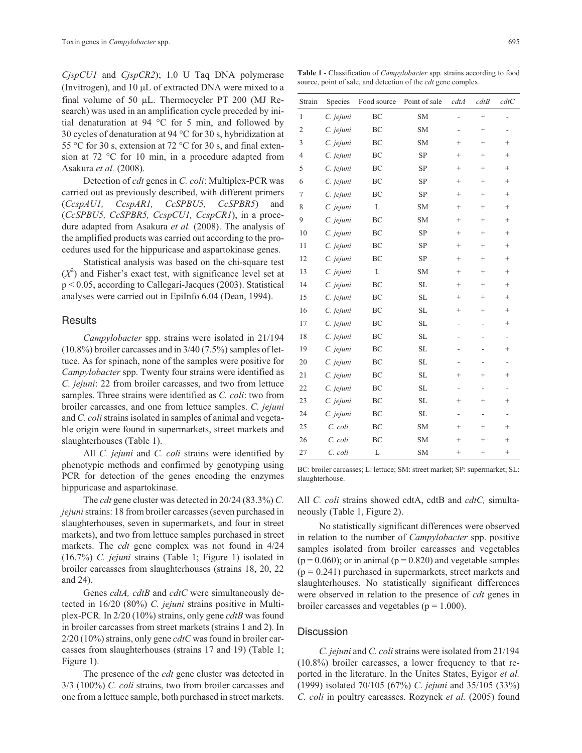*CjspCU1* and *CjspCR2*); 1.0 U Taq DNA polymerase (Invitrogen), and  $10 \mu L$  of extracted DNA were mixed to a final volume of 50  $\mu$ L. Thermocycler PT 200 (MJ Research) was used in an amplification cycle preceded by initial denaturation at 94 °C for 5 min, and followed by 30 cycles of denaturation at 94 °C for 30 s, hybridization at 55 °C for 30 s, extension at 72 °C for 30 s, and final extension at 72 °C for 10 min, in a procedure adapted from Asakura *et al.* (2008).

Detection of *cdt* genes in *C. coli*: Multiplex-PCR was carried out as previously described, with different primers (*CcspAU1, CcspAR1, CcSPBU5, CcSPBR5*) and (*CcSPBU5, CcSPBR5, CcspCU1, CcspCR1*), in a procedure adapted from Asakura *et al.* (2008). The analysis of the amplified products was carried out according to the procedures used for the hippuricase and aspartokinase genes.

Statistical analysis was based on the chi-square test  $(X<sup>2</sup>)$  and Fisher's exact test, with significance level set at p < 0.05, according to Callegari-Jacques (2003). Statistical analyses were carried out in EpiInfo 6.04 (Dean, 1994).

#### **Results**

*Campylobacter* spp. strains were isolated in 21/194 (10.8%) broiler carcasses and in 3/40 (7.5%) samples of lettuce. As for spinach, none of the samples were positive for *Campylobacter* spp. Twenty four strains were identified as *C. jejuni*: 22 from broiler carcasses, and two from lettuce samples. Three strains were identified as *C. coli*: two from broiler carcasses, and one from lettuce samples. *C. jejuni* and *C. coli*strains isolated in samples of animal and vegetable origin were found in supermarkets, street markets and slaughterhouses (Table 1).

All *C. jejuni* and *C. coli* strains were identified by phenotypic methods and confirmed by genotyping using PCR for detection of the genes encoding the enzymes hippuricase and aspartokinase.

The *cdt* gene cluster was detected in 20/24 (83.3%) *C. jejuni* strains: 18 from broiler carcasses (seven purchased in slaughterhouses, seven in supermarkets, and four in street markets), and two from lettuce samples purchased in street markets. The *cdt* gene complex was not found in 4/24 (16.7%) *C. jejuni* strains (Table 1; Figure 1) isolated in broiler carcasses from slaughterhouses (strains 18, 20, 22 and 24).

Genes *cdtA, cdtB* and *cdtC* were simultaneously detected in 16/20 (80%) *C. jejuni* strains positive in Multiplex-PCR*.* In 2/20 (10%) strains, only gene *cdtB* was found in broiler carcasses from street markets (strains 1 and 2). In 2/20 (10%) strains, only gene *cdtC* was found in broiler carcasses from slaughterhouses (strains 17 and 19) (Table 1; Figure 1).

The presence of the *cdt* gene cluster was detected in 3/3 (100%) *C. coli* strains, two from broiler carcasses and one from a lettuce sample, both purchased in street markets.

**Table 1** - Classification of *Campylobacter* spp. strains according to food source, point of sale, and detection of the *cdt* gene complex.

| 1<br>C. jejuni<br>BC<br><b>SM</b><br>C. jejuni<br>BC<br><b>SM</b><br>2<br>ä,<br>3<br>C. jejuni<br>BC<br><b>SM</b><br>$^{+}$<br>SP<br>C. jejuni<br>BC<br>4<br>$^{+}$<br>5<br>C. jejuni<br>BC<br><b>SP</b><br>$^+$<br>C. jejuni<br>6<br>BC<br><b>SP</b><br>$^{+}$<br>7<br>C. jejuni<br>BC<br><b>SP</b><br>$^{+}$<br>8<br>C. jejuni<br>L<br><b>SM</b><br>$^{+}$<br>9<br>C. jejuni<br>BC<br><b>SM</b><br>$^{+}$<br>C. jejuni<br>BC<br><b>SP</b><br>10<br>$^{+}$<br>C. jejuni<br>BC<br>11<br><b>SP</b><br>$^{+}$<br>12<br>C. jejuni<br>BC<br>SP<br>$^{+}$<br>L<br><b>SM</b><br>13<br>C. jejuni<br>$\hspace{0.1mm} +$<br>14<br>C. jejuni<br><b>SL</b><br>BC<br>$^+$<br>15<br>C. jejuni<br><b>SL</b><br>BC<br>$\hspace{0.1mm} +$<br><b>SL</b><br>16<br>C. jejuni<br>BC<br>$\hspace{0.1mm} +$<br>17<br>C. jejuni<br>BC<br><b>SL</b><br><b>SL</b><br>18<br>C. jejuni<br>BC<br><b>SL</b><br>C. jejuni<br>19<br>BC | $^{+}$<br>$^{+}$<br>$^{+}$<br>$^+$<br>$^{+}$<br>$^{+}$<br>$^{+}$<br>$^{+}$<br>$^{+}$<br>$^{+}$<br>$^{+}$<br>$^{+}$ | $\overline{\phantom{0}}$<br>$^{+}$<br>$^{+}$<br>$^{+}$<br>$^{+}$<br>$^{+}$<br>$^{+}$<br>$^{+}$<br>$^{+}$<br>$^{+}$ |
|---------------------------------------------------------------------------------------------------------------------------------------------------------------------------------------------------------------------------------------------------------------------------------------------------------------------------------------------------------------------------------------------------------------------------------------------------------------------------------------------------------------------------------------------------------------------------------------------------------------------------------------------------------------------------------------------------------------------------------------------------------------------------------------------------------------------------------------------------------------------------------------------------------|--------------------------------------------------------------------------------------------------------------------|--------------------------------------------------------------------------------------------------------------------|
|                                                                                                                                                                                                                                                                                                                                                                                                                                                                                                                                                                                                                                                                                                                                                                                                                                                                                                         |                                                                                                                    |                                                                                                                    |
|                                                                                                                                                                                                                                                                                                                                                                                                                                                                                                                                                                                                                                                                                                                                                                                                                                                                                                         |                                                                                                                    |                                                                                                                    |
|                                                                                                                                                                                                                                                                                                                                                                                                                                                                                                                                                                                                                                                                                                                                                                                                                                                                                                         |                                                                                                                    |                                                                                                                    |
|                                                                                                                                                                                                                                                                                                                                                                                                                                                                                                                                                                                                                                                                                                                                                                                                                                                                                                         |                                                                                                                    |                                                                                                                    |
|                                                                                                                                                                                                                                                                                                                                                                                                                                                                                                                                                                                                                                                                                                                                                                                                                                                                                                         |                                                                                                                    |                                                                                                                    |
|                                                                                                                                                                                                                                                                                                                                                                                                                                                                                                                                                                                                                                                                                                                                                                                                                                                                                                         |                                                                                                                    |                                                                                                                    |
|                                                                                                                                                                                                                                                                                                                                                                                                                                                                                                                                                                                                                                                                                                                                                                                                                                                                                                         |                                                                                                                    |                                                                                                                    |
|                                                                                                                                                                                                                                                                                                                                                                                                                                                                                                                                                                                                                                                                                                                                                                                                                                                                                                         |                                                                                                                    |                                                                                                                    |
|                                                                                                                                                                                                                                                                                                                                                                                                                                                                                                                                                                                                                                                                                                                                                                                                                                                                                                         |                                                                                                                    |                                                                                                                    |
|                                                                                                                                                                                                                                                                                                                                                                                                                                                                                                                                                                                                                                                                                                                                                                                                                                                                                                         |                                                                                                                    |                                                                                                                    |
|                                                                                                                                                                                                                                                                                                                                                                                                                                                                                                                                                                                                                                                                                                                                                                                                                                                                                                         |                                                                                                                    |                                                                                                                    |
|                                                                                                                                                                                                                                                                                                                                                                                                                                                                                                                                                                                                                                                                                                                                                                                                                                                                                                         |                                                                                                                    | $^{+}$                                                                                                             |
|                                                                                                                                                                                                                                                                                                                                                                                                                                                                                                                                                                                                                                                                                                                                                                                                                                                                                                         | $^{+}$                                                                                                             | $^{+}$                                                                                                             |
|                                                                                                                                                                                                                                                                                                                                                                                                                                                                                                                                                                                                                                                                                                                                                                                                                                                                                                         | $^{+}$                                                                                                             | $^{+}$                                                                                                             |
|                                                                                                                                                                                                                                                                                                                                                                                                                                                                                                                                                                                                                                                                                                                                                                                                                                                                                                         | $^{+}$                                                                                                             | $^{+}$                                                                                                             |
|                                                                                                                                                                                                                                                                                                                                                                                                                                                                                                                                                                                                                                                                                                                                                                                                                                                                                                         | $^{+}$                                                                                                             | $^{+}$                                                                                                             |
|                                                                                                                                                                                                                                                                                                                                                                                                                                                                                                                                                                                                                                                                                                                                                                                                                                                                                                         |                                                                                                                    | $^{+}$                                                                                                             |
|                                                                                                                                                                                                                                                                                                                                                                                                                                                                                                                                                                                                                                                                                                                                                                                                                                                                                                         |                                                                                                                    | $\overline{\phantom{0}}$                                                                                           |
|                                                                                                                                                                                                                                                                                                                                                                                                                                                                                                                                                                                                                                                                                                                                                                                                                                                                                                         |                                                                                                                    | $^+$                                                                                                               |
| C. jejuni<br><b>SL</b><br>20<br>BC                                                                                                                                                                                                                                                                                                                                                                                                                                                                                                                                                                                                                                                                                                                                                                                                                                                                      |                                                                                                                    | $\overline{\phantom{0}}$                                                                                           |
| <b>SL</b><br>21<br>C. jejuni<br>BC<br>$^+$                                                                                                                                                                                                                                                                                                                                                                                                                                                                                                                                                                                                                                                                                                                                                                                                                                                              | $^{+}$                                                                                                             | $^{+}$                                                                                                             |
| <b>SL</b><br>C. jejuni<br>22<br>BC<br>$\overline{\phantom{0}}$                                                                                                                                                                                                                                                                                                                                                                                                                                                                                                                                                                                                                                                                                                                                                                                                                                          | $\overline{\phantom{0}}$                                                                                           | $\overline{\phantom{0}}$                                                                                           |
| C. jejuni<br><b>SL</b><br>23<br>BC<br>$\hspace{0.1mm} +$                                                                                                                                                                                                                                                                                                                                                                                                                                                                                                                                                                                                                                                                                                                                                                                                                                                | $^{+}$                                                                                                             | $^{+}$                                                                                                             |
| C. jejuni<br><b>SL</b><br>24<br>BC<br>-                                                                                                                                                                                                                                                                                                                                                                                                                                                                                                                                                                                                                                                                                                                                                                                                                                                                 |                                                                                                                    |                                                                                                                    |
| <b>SM</b><br>25<br>C. coli<br>BC<br>$\hspace{0.1mm} +$                                                                                                                                                                                                                                                                                                                                                                                                                                                                                                                                                                                                                                                                                                                                                                                                                                                  | $^{+}$                                                                                                             | $^{+}$                                                                                                             |
| 26<br>C. coli<br>BC<br><b>SM</b><br>$^{+}$                                                                                                                                                                                                                                                                                                                                                                                                                                                                                                                                                                                                                                                                                                                                                                                                                                                              | $^{+}$                                                                                                             | $^{+}$                                                                                                             |
| 27<br><b>SM</b><br>C. coli<br>L<br>$^{+}$                                                                                                                                                                                                                                                                                                                                                                                                                                                                                                                                                                                                                                                                                                                                                                                                                                                               | $^+$                                                                                                               | $^{+}$                                                                                                             |

BC: broiler carcasses; L: lettuce; SM: street market; SP: supermarket; SL: slaughterhouse.

All *C. coli* strains showed cdtA, cdtB and *cdtC,* simultaneously (Table 1, Figure 2).

No statistically significant differences were observed in relation to the number of *Campylobacter* spp. positive samples isolated from broiler carcasses and vegetables  $(p = 0.060)$ ; or in animal  $(p = 0.820)$  and vegetable samples  $(p = 0.241)$  purchased in supermarkets, street markets and slaughterhouses. No statistically significant differences were observed in relation to the presence of *cdt* genes in broiler carcasses and vegetables ( $p = 1.000$ ).

#### **Discussion**

*C. jejuni* and *C. coli*strains were isolated from 21/194 (10.8%) broiler carcasses, a lower frequency to that reported in the literature. In the Unites States, Eyigor *et al.* (1999) isolated 70/105 (67%) *C*. *jejuni* and 35/105 (33%) *C. coli* in poultry carcasses. Rozynek *et al.* (2005) found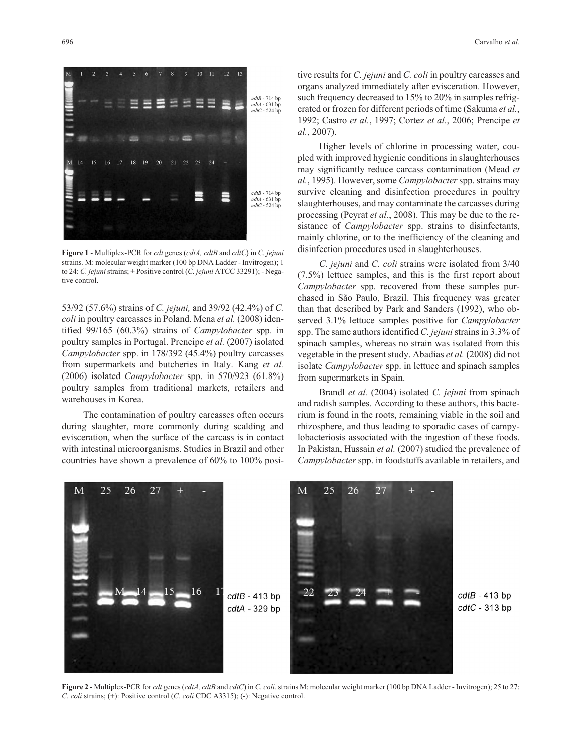

**Figure 1** - Multiplex-PCR for *cdt* genes (*cdtA, cdtB* and *cdtC*) in *C. jejuni* strains*.* M: molecular weight marker (100 bp DNA Ladder - Invitrogen); 1 to 24: *C. jejuni*strains; + Positive control (*C. jejuni* ATCC 33291); - Negative control.

53/92 (57.6%) strains of *C. jejuni,* and 39/92 (42.4%) of *C. coli* in poultry carcasses in Poland. Mena *et al.* (2008) identified 99/165 (60.3%) strains of *Campylobacter* spp. in poultry samples in Portugal. Prencipe *et al.* (2007) isolated *Campylobacter* spp. in 178/392 (45.4%) poultry carcasses from supermarkets and butcheries in Italy. Kang *et al.* (2006) isolated *Campylobacter* spp. in 570/923 (61.8%) poultry samples from traditional markets, retailers and warehouses in Korea.

The contamination of poultry carcasses often occurs during slaughter, more commonly during scalding and evisceration, when the surface of the carcass is in contact with intestinal microorganisms. Studies in Brazil and other countries have shown a prevalence of 60% to 100% positive results for *C. jejuni* and *C. coli* in poultry carcasses and organs analyzed immediately after evisceration. However, such frequency decreased to 15% to 20% in samples refrigerated or frozen for different periods of time (Sakuma *et al.*, 1992; Castro *et al.*, 1997; Cortez *et al.*, 2006; Prencipe *et al.*, 2007).

Higher levels of chlorine in processing water, coupled with improved hygienic conditions in slaughterhouses may significantly reduce carcass contamination (Mead *et al.*, 1995). However, some *Campylobacter*spp. strains may survive cleaning and disinfection procedures in poultry slaughterhouses, and may contaminate the carcasses during processing (Peyrat *et al.*, 2008). This may be due to the resistance of *Campylobacter* spp. strains to disinfectants, mainly chlorine, or to the inefficiency of the cleaning and disinfection procedures used in slaughterhouses.

*C. jejuni* and *C. coli* strains were isolated from 3/40 (7.5%) lettuce samples, and this is the first report about *Campylobacter* spp. recovered from these samples purchased in São Paulo, Brazil. This frequency was greater than that described by Park and Sanders (1992), who observed 3.1% lettuce samples positive for *Campylobacter* spp. The same authors identified *C. jejuni*strains in 3.3% of spinach samples, whereas no strain was isolated from this vegetable in the present study. Abadias *et al.* (2008) did not isolate *Campylobacter* spp. in lettuce and spinach samples from supermarkets in Spain.

Brandl *et al.* (2004) isolated *C. jejuni* from spinach and radish samples. According to these authors, this bacterium is found in the roots, remaining viable in the soil and rhizosphere, and thus leading to sporadic cases of campylobacteriosis associated with the ingestion of these foods. In Pakistan, Hussain *et al.* (2007) studied the prevalence of *Campylobacter* spp. in foodstuffs available in retailers, and



**Figure 2** - Multiplex-PCR for *cdt* genes (*cdtA, cdtB* and *cdtC*) in *C. coli.*strains M: molecular weight marker (100 bp DNA Ladder - Invitrogen); 25 to 27: *C. coli* strains; (+): Positive control (*C. coli* CDC A3315); (-): Negative control.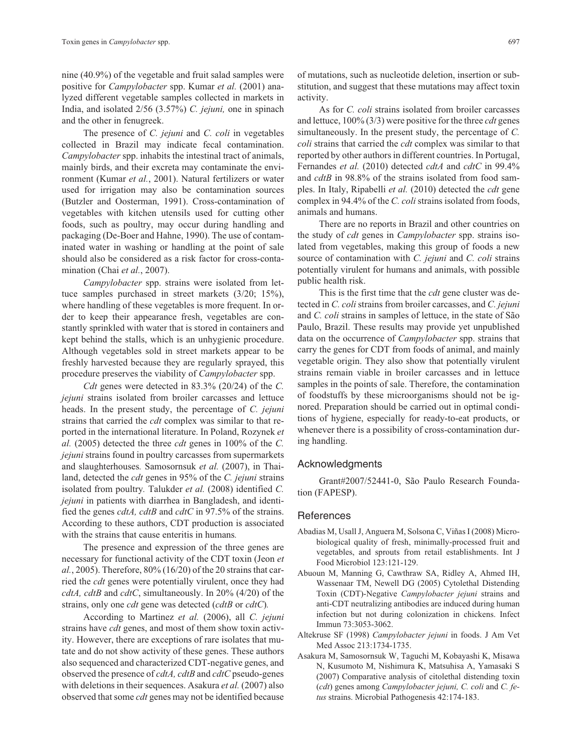nine (40.9%) of the vegetable and fruit salad samples were positive for *Campylobacter* spp. Kumar *et al.* (2001) analyzed different vegetable samples collected in markets in India, and isolated 2/56 (3.57%) *C. jejuni,* one in spinach and the other in fenugreek.

The presence of *C. jejuni* and *C. coli* in vegetables collected in Brazil may indicate fecal contamination. *Campylobacter* spp. inhabits the intestinal tract of animals, mainly birds, and their excreta may contaminate the environment (Kumar *et al.*, 2001). Natural fertilizers or water used for irrigation may also be contamination sources (Butzler and Oosterman, 1991). Cross-contamination of vegetables with kitchen utensils used for cutting other foods, such as poultry, may occur during handling and packaging (De-Boer and Hahne, 1990). The use of contaminated water in washing or handling at the point of sale should also be considered as a risk factor for cross-contamination (Chai *et al.*, 2007).

*Campylobacter* spp. strains were isolated from lettuce samples purchased in street markets (3/20; 15%), where handling of these vegetables is more frequent. In order to keep their appearance fresh, vegetables are constantly sprinkled with water that is stored in containers and kept behind the stalls, which is an unhygienic procedure. Although vegetables sold in street markets appear to be freshly harvested because they are regularly sprayed, this procedure preserves the viability of *Campylobacter* spp.

*Cdt* genes were detected in 83.3% (20/24) of the *C. jejuni* strains isolated from broiler carcasses and lettuce heads. In the present study, the percentage of *C. jejuni* strains that carried the *cdt* complex was similar to that reported in the international literature. In Poland, Rozynek *et al.* (2005) detected the three *cdt* genes in 100% of the *C. jejuni* strains found in poultry carcasses from supermarkets and slaughterhouses*.* Samosornsuk *et al.* (2007), in Thailand, detected the *cdt* genes in 95% of the *C. jejuni* strains isolated from poultry*.* Talukder *et al.* (2008) identified *C. jejuni* in patients with diarrhea in Bangladesh, and identified the genes *cdtA, cdtB* and *cdtC* in 97.5% of the strains. According to these authors, CDT production is associated with the strains that cause enteritis in humans*.*

The presence and expression of the three genes are necessary for functional activity of the CDT toxin (Jeon *et al.*, 2005). Therefore, 80% (16/20) of the 20 strains that carried the *cdt* genes were potentially virulent, once they had *cdtA, cdtB* and *cdtC*, simultaneously. In 20% (4/20) of the strains, only one *cdt* gene was detected (*cdtB* or *cdtC*)*.*

According to Martinez *et al.* (2006), all *C. jejuni* strains have *cdt* genes, and most of them show toxin activity. However, there are exceptions of rare isolates that mutate and do not show activity of these genes. These authors also sequenced and characterized CDT-negative genes, and observed the presence of *cdtA, cdtB* and *cdtC* pseudo-genes with deletions in their sequences. Asakura *et al.* (2007) also observed that some *cdt* genes may not be identified because

of mutations, such as nucleotide deletion, insertion or substitution, and suggest that these mutations may affect toxin activity.

As for *C. coli* strains isolated from broiler carcasses and lettuce, 100% (3/3) were positive for the three *cdt* genes simultaneously. In the present study, the percentage of *C. coli* strains that carried the *cdt* complex was similar to that reported by other authors in different countries. In Portugal, Fernandes *et al.* (2010) detected *cdtA* and *cdtC* in 99.4% and *cdtB* in 98.8% of the strains isolated from food samples. In Italy, Ripabelli *et al.* (2010) detected the *cdt* gene complex in 94.4% of the *C. coli* strains isolated from foods, animals and humans.

There are no reports in Brazil and other countries on the study of *cdt* genes in *Campylobacter* spp. strains isolated from vegetables, making this group of foods a new source of contamination with *C. jejuni* and *C. coli* strains potentially virulent for humans and animals, with possible public health risk.

This is the first time that the *cdt* gene cluster was detected in *C. coli* strains from broiler carcasses, and *C. jejuni* and *C. coli* strains in samples of lettuce, in the state of São Paulo, Brazil. These results may provide yet unpublished data on the occurrence of *Campylobacter* spp. strains that carry the genes for CDT from foods of animal, and mainly vegetable origin. They also show that potentially virulent strains remain viable in broiler carcasses and in lettuce samples in the points of sale. Therefore, the contamination of foodstuffs by these microorganisms should not be ignored. Preparation should be carried out in optimal conditions of hygiene, especially for ready-to-eat products, or whenever there is a possibility of cross-contamination during handling.

#### Acknowledgments

Grant#2007/52441-0, São Paulo Research Foundation (FAPESP).

#### **References**

- Abadias M, Usall J, Anguera M, Solsona C, Viñas I (2008) Microbiological quality of fresh, minimally-processed fruit and vegetables, and sprouts from retail establishments. Int J Food Microbiol 123:121-129.
- Abuoun M, Manning G, Cawthraw SA, Ridley A, Ahmed IH, Wassenaar TM, Newell DG (2005) Cytolethal Distending Toxin (CDT)-Negative *Campylobacter jejuni* strains and anti-CDT neutralizing antibodies are induced during human infection but not during colonization in chickens. Infect Immun 73:3053-3062.
- Altekruse SF (1998) *Campylobacter jejuni* in foods. J Am Vet Med Assoc 213:1734-1735.
- Asakura M, Samosornsuk W, Taguchi M, Kobayashi K, Misawa N, Kusumoto M, Nishimura K, Matsuhisa A, Yamasaki S (2007) Comparative analysis of citolethal distending toxin (*cdt*) genes among *Campylobacter jejuni, C. coli* and *C. fetus* strains. Microbial Pathogenesis 42:174-183.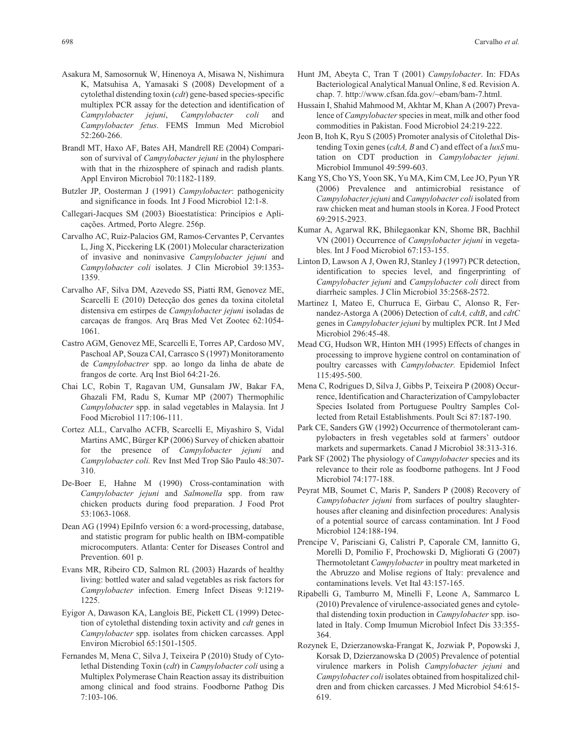- Asakura M, Samosornuk W, Hinenoya A, Misawa N, Nishimura K, Matsuhisa A, Yamasaki S (2008) Development of a cytolethal distending toxin (*cdt*) gene-based species-specific multiplex PCR assay for the detection and identification of *Campylobacter jejuni*, *Campylobacter coli* and *Campylobacter fetus*. FEMS Immun Med Microbiol 52:260-266.
- Brandl MT, Haxo AF, Bates AH, Mandrell RE (2004) Comparison of survival of *Campylobacter jejuni* in the phylosphere with that in the rhizosphere of spinach and radish plants. Appl Environ Microbiol 70:1182-1189.
- Butzler JP, Oosterman J (1991) *Campylobacter*: pathogenicity and significance in foods*.* Int J Food Microbiol 12:1-8.
- Callegari-Jacques SM (2003) Bioestatística: Princípios e Aplicações. Artmed, Porto Alegre. 256p.
- Carvalho AC, Ruiz-Palacios GM, Ramos-Cervantes P, Cervantes L, Jing X, Picckering LK (2001) Molecular characterization of invasive and noninvasive *Campylobacter jejuni* and *Campylobacter coli* isolates. J Clin Microbiol 39:1353- 1359.
- Carvalho AF, Silva DM, Azevedo SS, Piatti RM, Genovez ME, Scarcelli E (2010) Detecção dos genes da toxina citoletal distensiva em estirpes de *Campylobacter jejuni* isoladas de carcaças de frangos. Arq Bras Med Vet Zootec 62:1054- 1061.
- Castro AGM, Genovez ME, Scarcelli E, Torres AP, Cardoso MV, Paschoal AP, Souza CAI, Carrasco S (1997) Monitoramento de *Campylobactrer* spp. ao longo da linha de abate de frangos de corte. Arq Inst Biol 64:21-26.
- Chai LC, Robin T, Ragavan UM, Gunsalam JW, Bakar FA, Ghazali FM, Radu S, Kumar MP (2007) Thermophilic *Campylobacter* spp. in salad vegetables in Malaysia. Int J Food Microbiol 117:106-111.
- Cortez ALL, Carvalho ACFB, Scarcelli E, Miyashiro S, Vidal Martins AMC, Bürger KP (2006) Survey of chicken abattoir for the presence of *Campylobacter jejuni* and *Campylobacter coli.* Rev Inst Med Trop São Paulo 48:307- 310.
- De-Boer E, Hahne M (1990) Cross-contamination with *Campylobacter jejuni* and *Salmonella* spp. from raw chicken products during food preparation. J Food Prot 53:1063-1068.
- Dean AG (1994) EpiInfo version 6: a word-processing, database, and statistic program for public health on IBM-compatible microcomputers. Atlanta: Center for Diseases Control and Prevention. 601 p.
- Evans MR, Ribeiro CD, Salmon RL (2003) Hazards of healthy living: bottled water and salad vegetables as risk factors for *Campylobacter* infection. Emerg Infect Diseas 9:1219- 1225.
- Eyigor A, Dawason KA, Langlois BE, Pickett CL (1999) Detection of cytolethal distending toxin activity and *cdt* genes in *Campylobacter* spp. isolates from chicken carcasses. Appl Environ Microbiol 65:1501-1505.
- Fernandes M, Mena C, Silva J, Teixeira P (2010) Study of Cytolethal Distending Toxin (*cdt*) in *Campylobacter coli* using a Multiplex Polymerase Chain Reaction assay its distribuition among clinical and food strains. Foodborne Pathog Dis 7:103-106.
- Hunt JM, Abeyta C, Tran T (2001) *Campylobacter*. In: FDAs Bacteriological Analytical Manual Online, 8 ed. Revision A. chap. 7*.* http://www.cfsan.fda.gov/~ebam/bam-7.html.
- Hussain I, Shahid Mahmood M, Akhtar M, Khan A (2007) Prevalence of *Campylobacter*species in meat, milk and other food commodities in Pakistan. Food Microbiol 24:219-222.
- Jeon B, Itoh K, Ryu S (2005) Promoter analysis of Citolethal Distending Toxin genes (*cdtA, B* and *C*) and effect of a *luxS* mutation on CDT production in *Campylobacter jejuni.* Microbiol Immunol 49:599-603.
- Kang YS, Cho YS, Yoon SK, Yu MA, Kim CM, Lee JO, Pyun YR (2006) Prevalence and antimicrobial resistance of *Campylobacter jejuni* and *Campylobacter coli* isolated from raw chicken meat and human stools in Korea. J Food Protect 69:2915-2923.
- Kumar A, Agarwal RK, Bhilegaonkar KN, Shome BR, Bachhil VN (2001) Occurrence of *Campylobacter jejuni* in vegetables. Int J Food Microbiol 67:153-155.
- Linton D, Lawson A J, Owen RJ, Stanley J (1997) PCR detection, identification to species level, and fingerprinting of *Campylobacter jejuni* and *Campylobacter coli* direct from diarrheic samples. J Clin Microbiol 35:2568-2572.
- Martinez I, Mateo E, Churruca E, Girbau C, Alonso R, Fernandez-Astorga A (2006) Detection of *cdtA, cdtB*, and *cdtC* genes in *Campylobacter jejuni* by multiplex PCR. Int J Med Microbiol 296:45-48.
- Mead CG, Hudson WR, Hinton MH (1995) Effects of changes in processing to improve hygiene control on contamination of poultry carcasses with *Campylobacter.* Epidemiol Infect 115:495-500.
- Mena C, Rodrigues D, Silva J, Gibbs P, Teixeira P (2008) Occurrence, Identification and Characterization of Campylobacter Species Isolated from Portuguese Poultry Samples Collected from Retail Establishments. Poult Sci 87:187-190.
- Park CE, Sanders GW (1992) Occurrence of thermotolerant campylobacters in fresh vegetables sold at farmers' outdoor markets and supermarkets. Canad J Microbiol 38:313-316.
- Park SF (2002) The physiology of *Campylobacter* species and its relevance to their role as foodborne pathogens. Int J Food Microbiol 74:177-188.
- Peyrat MB, Soumet C, Maris P, Sanders P (2008) Recovery of *Campylobacter jejuni* from surfaces of poultry slaughterhouses after cleaning and disinfection procedures: Analysis of a potential source of carcass contamination. Int J Food Microbiol 124:188-194.
- Prencipe V, Parisciani G, Calistri P, Caporale CM, Iannitto G, Morelli D, Pomilio F, Prochowski D, Migliorati G (2007) Thermotoletant *Campylobacter* in poultry meat marketed in the Abruzzo and Molise regions of Italy: prevalence and contaminations levels. Vet Ital 43:157-165.
- Ripabelli G, Tamburro M, Minelli F, Leone A, Sammarco L (2010) Prevalence of virulence-associated genes and cytolethal distending toxin production in *Campylobacter* spp. isolated in Italy. Comp Imumun Microbiol Infect Dis 33:355- 364.
- Rozynek E, Dzierzanowska-Frangat K, Jozwiak P, Popowski J, Korsak D, Dzierzanowska D (2005) Prevalence of potential virulence markers in Polish *Campylobacter jejuni* and *Campylobacter coli* isolates obtained from hospitalized children and from chicken carcasses. J Med Microbiol 54:615- 619.